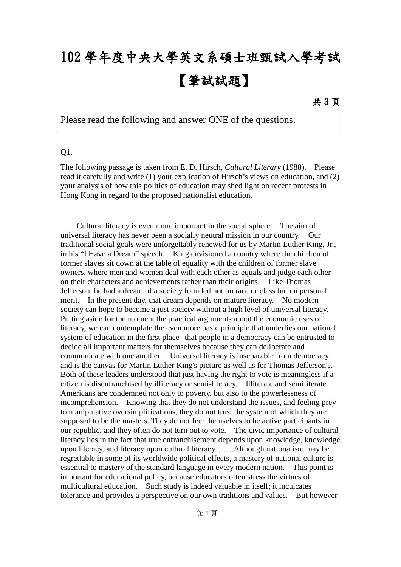## 102 學年度中央大學英文系碩士班甄試入學考試 【筆試試題】

共 3 頁

Please read the following and answer ONE of the questions.

## Q1.

The following passage is taken from E. D. Hirsch, *Cultural Literary* (1988). Please read it carefully and write (1) your explication of Hirsch's views on education, and (2) your analysis of how this politics of education may shed light on recent protests in Hong Kong in regard to the proposed nationalist education.

Cultural literacy is even more important in the social sphere. The aim of universal literacy has never been a socially neutral mission in our country. Our traditional social goals were unforgettably renewed for us by Martin Luther King, Jr., in his "I Have a Dream" speech. King envisioned a country where the children of former slaves sit down at the table of equality with the children of former slave owners, where men and women deal with each other as equals and judge each other on their characters and achievements rather than their origins. Like Thomas Jefferson, he had a dream of a society founded not on race or class but on personal merit. In the present day, that dream depends on mature literacy. No modern society can hope to become a just society without a high level of universal literacy. Putting aside for the moment the practical arguments about the economic uses of literacy, we can contemplate the even more basic principle that underlies our national system of education in the first place--that people in a democracy can be entrusted to decide all important matters for themselves because they can deliberate and communicate with one another. Universal literacy is inseparable from democracy and is the canvas for Martin Luther King's picture as well as for Thomas Jefferson's. Both of these leaders understood that just having the right to vote is meaningless if a citizen is disenfranchised by illiteracy or semi-literacy. Illiterate and semiliterate Americans are condemned not only to poverty, but also to the powerlessness of incomprehension. Knowing that they do not understand the issues, and feeling prey to manipulative oversimplifications, they do not trust the system of which they are supposed to be the masters. They do not feel themselves to be active participants in our republic, and they often do not turn out to vote. The civic importance of cultural literacy lies in the fact that true enfranchisement depends upon knowledge, knowledge upon literacy, and literacy upon cultural literacy…….Although nationalism may be regrettable in some of its worldwide political effects, a mastery of national culture is essential to mastery of the standard language in every modern nation. This point is important for educational policy, because educators often stress the virtues of multicultural education. Such study is indeed valuable in itself; it inculcates tolerance and provides a perspective on our own traditions and values. But however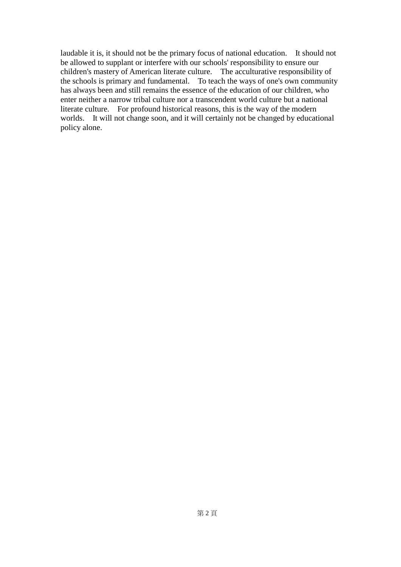laudable it is, it should not be the primary focus of national education. It should not be allowed to supplant or interfere with our schools' responsibility to ensure our children's mastery of American literate culture. The acculturative responsibility of the schools is primary and fundamental. To teach the ways of one's own community has always been and still remains the essence of the education of our children, who enter neither a narrow tribal culture nor a transcendent world culture but a national literate culture. For profound historical reasons, this is the way of the modern worlds. It will not change soon, and it will certainly not be changed by educational policy alone.